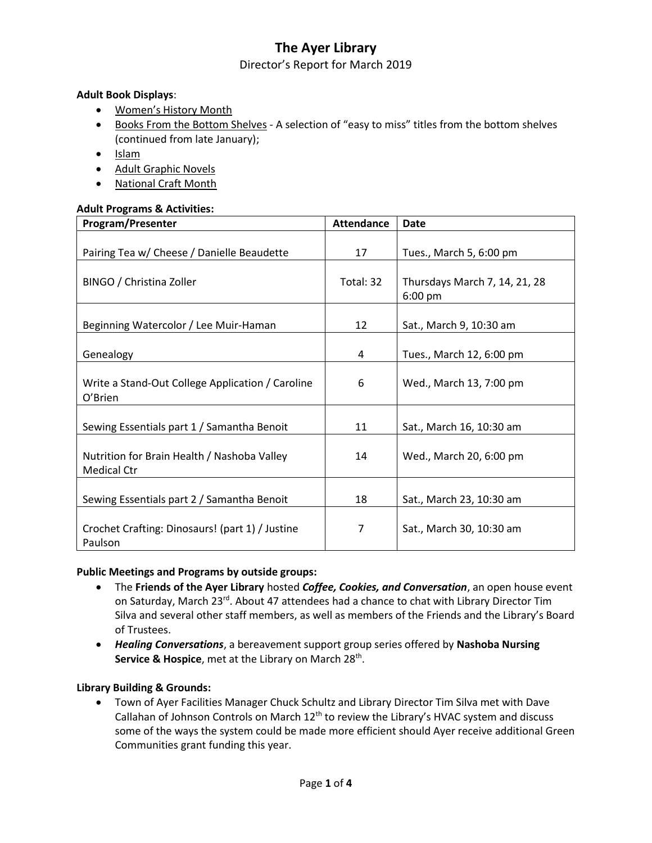# **The Ayer Library**

#### Director's Report for March 2019

#### **Adult Book Displays**:

- Women's History Month
- Books From the Bottom Shelves A selection of "easy to miss" titles from the bottom shelves (continued from late January);
- Islam
- Adult Graphic Novels
- National Craft Month

#### **Adult Programs & Activities:**

| <b>Program/Presenter</b>                                          | <b>Attendance</b> | <b>Date</b>                              |
|-------------------------------------------------------------------|-------------------|------------------------------------------|
| Pairing Tea w/ Cheese / Danielle Beaudette                        | 17                | Tues., March 5, 6:00 pm                  |
| BINGO / Christina Zoller                                          | Total: 32         | Thursdays March 7, 14, 21, 28<br>6:00 pm |
| Beginning Watercolor / Lee Muir-Haman                             | 12                | Sat., March 9, 10:30 am                  |
| Genealogy                                                         | 4                 | Tues., March 12, 6:00 pm                 |
| Write a Stand-Out College Application / Caroline<br>O'Brien       | 6                 | Wed., March 13, 7:00 pm                  |
| Sewing Essentials part 1 / Samantha Benoit                        | 11                | Sat., March 16, 10:30 am                 |
| Nutrition for Brain Health / Nashoba Valley<br><b>Medical Ctr</b> | 14                | Wed., March 20, 6:00 pm                  |
| Sewing Essentials part 2 / Samantha Benoit                        | 18                | Sat., March 23, 10:30 am                 |
| Crochet Crafting: Dinosaurs! (part 1) / Justine<br>Paulson        | 7                 | Sat., March 30, 10:30 am                 |

#### **Public Meetings and Programs by outside groups:**

- The **Friends of the Ayer Library** hosted *Coffee, Cookies, and Conversation*, an open house event on Saturday, March 23<sup>rd</sup>. About 47 attendees had a chance to chat with Library Director Tim Silva and several other staff members, as well as members of the Friends and the Library's Board of Trustees.
- *Healing Conversations*, a bereavement support group series offered by **Nashoba Nursing**  Service & Hospice, met at the Library on March 28<sup>th</sup>.

### **Library Building & Grounds:**

 Town of Ayer Facilities Manager Chuck Schultz and Library Director Tim Silva met with Dave Callahan of Johnson Controls on March 12<sup>th</sup> to review the Library's HVAC system and discuss some of the ways the system could be made more efficient should Ayer receive additional Green Communities grant funding this year.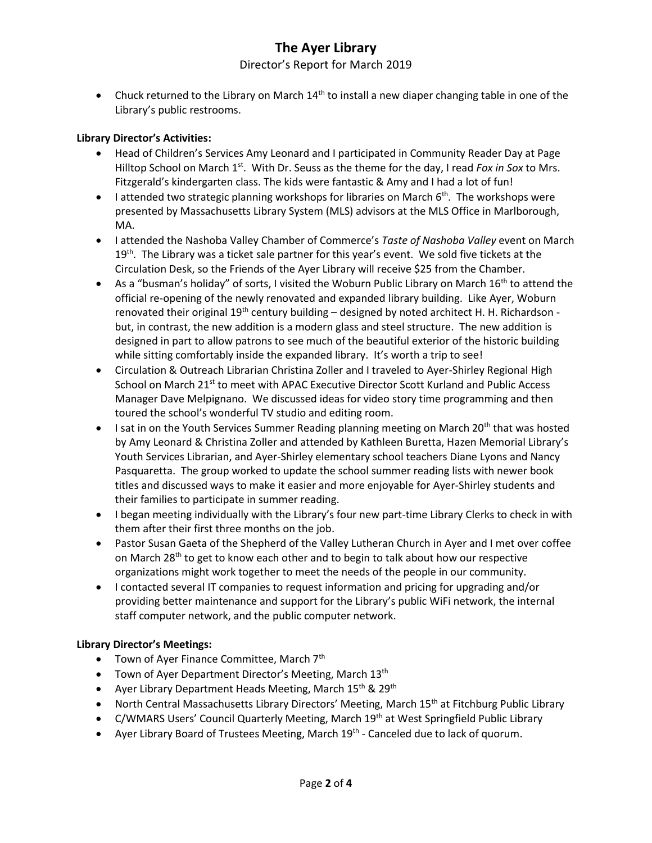## **The Ayer Library**

#### Director's Report for March 2019

• Chuck returned to the Library on March  $14<sup>th</sup>$  to install a new diaper changing table in one of the Library's public restrooms.

#### **Library Director's Activities:**

- Head of Children's Services Amy Leonard and I participated in Community Reader Day at Page Hilltop School on March 1<sup>st</sup>. With Dr. Seuss as the theme for the day, I read *Fox in Sox* to Mrs. Fitzgerald's kindergarten class. The kids were fantastic & Amy and I had a lot of fun!
- I attended two strategic planning workshops for libraries on March  $6<sup>th</sup>$ . The workshops were presented by Massachusetts Library System (MLS) advisors at the MLS Office in Marlborough, MA.
- I attended the Nashoba Valley Chamber of Commerce's *Taste of Nashoba Valley* event on March  $19<sup>th</sup>$ . The Library was a ticket sale partner for this year's event. We sold five tickets at the Circulation Desk, so the Friends of the Ayer Library will receive \$25 from the Chamber.
- **•** As a "busman's holiday" of sorts, I visited the Woburn Public Library on March 16<sup>th</sup> to attend the official re-opening of the newly renovated and expanded library building. Like Ayer, Woburn renovated their original 19<sup>th</sup> century building – designed by noted architect H. H. Richardson but, in contrast, the new addition is a modern glass and steel structure. The new addition is designed in part to allow patrons to see much of the beautiful exterior of the historic building while sitting comfortably inside the expanded library. It's worth a trip to see!
- Circulation & Outreach Librarian Christina Zoller and I traveled to Ayer-Shirley Regional High School on March 21<sup>st</sup> to meet with APAC Executive Director Scott Kurland and Public Access Manager Dave Melpignano. We discussed ideas for video story time programming and then toured the school's wonderful TV studio and editing room.
- I sat in on the Youth Services Summer Reading planning meeting on March 20<sup>th</sup> that was hosted by Amy Leonard & Christina Zoller and attended by Kathleen Buretta, Hazen Memorial Library's Youth Services Librarian, and Ayer-Shirley elementary school teachers Diane Lyons and Nancy Pasquaretta. The group worked to update the school summer reading lists with newer book titles and discussed ways to make it easier and more enjoyable for Ayer-Shirley students and their families to participate in summer reading.
- I began meeting individually with the Library's four new part-time Library Clerks to check in with them after their first three months on the job.
- Pastor Susan Gaeta of the Shepherd of the Valley Lutheran Church in Ayer and I met over coffee on March  $28<sup>th</sup>$  to get to know each other and to begin to talk about how our respective organizations might work together to meet the needs of the people in our community.
- I contacted several IT companies to request information and pricing for upgrading and/or providing better maintenance and support for the Library's public WiFi network, the internal staff computer network, and the public computer network.

#### **Library Director's Meetings:**

- Town of Ayer Finance Committee, March 7<sup>th</sup>
- Town of Ayer Department Director's Meeting, March 13<sup>th</sup>
- Ayer Library Department Heads Meeting, March  $15^{th}$  &  $29^{th}$
- North Central Massachusetts Library Directors' Meeting, March 15<sup>th</sup> at Fitchburg Public Library
- C/WMARS Users' Council Quarterly Meeting, March 19<sup>th</sup> at West Springfield Public Library
- Ayer Library Board of Trustees Meeting, March 19<sup>th</sup> Canceled due to lack of quorum.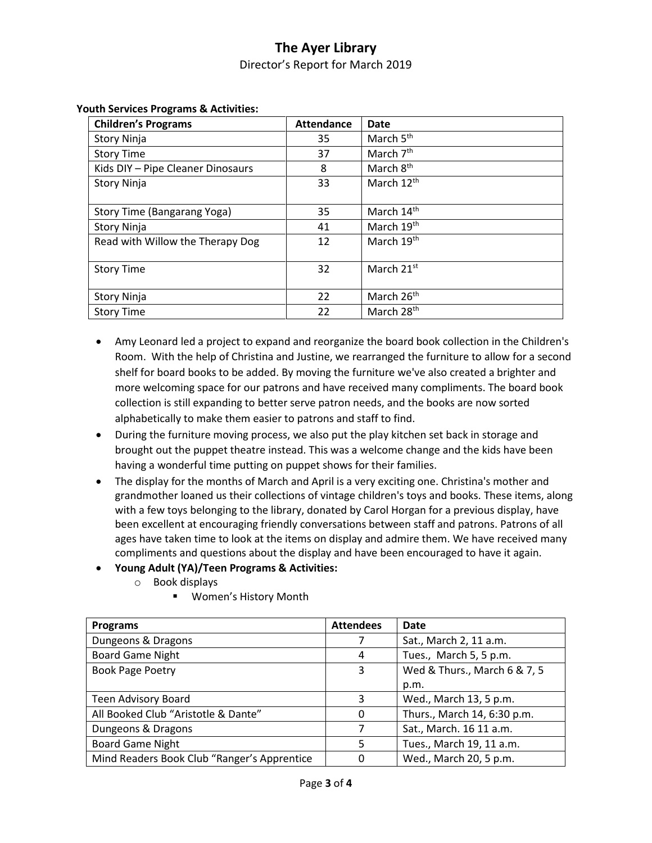### **The Ayer Library** Director's Report for March 2019

| <b>Children's Programs</b>        | <b>Attendance</b> | Date                   |
|-----------------------------------|-------------------|------------------------|
| <b>Story Ninja</b>                | 35                | March 5 <sup>th</sup>  |
| <b>Story Time</b>                 | 37                | March 7 <sup>th</sup>  |
| Kids DIY - Pipe Cleaner Dinosaurs | 8                 | March 8 <sup>th</sup>  |
| <b>Story Ninja</b>                | 33                | March 12 <sup>th</sup> |
| Story Time (Bangarang Yoga)       | 35                | March 14 <sup>th</sup> |
| <b>Story Ninja</b>                | 41                | March 19 <sup>th</sup> |
| Read with Willow the Therapy Dog  | 12                | March 19 <sup>th</sup> |
| <b>Story Time</b>                 | 32                | March 21 <sup>st</sup> |
| Story Ninja                       | 22                | March 26 <sup>th</sup> |
| <b>Story Time</b>                 | 22                | March 28 <sup>th</sup> |

#### **Youth Services Programs & Activities:**

- Amy Leonard led a project to expand and reorganize the board book collection in the Children's Room. With the help of Christina and Justine, we rearranged the furniture to allow for a second shelf for board books to be added. By moving the furniture we've also created a brighter and more welcoming space for our patrons and have received many compliments. The board book collection is still expanding to better serve patron needs, and the books are now sorted alphabetically to make them easier to patrons and staff to find.
- During the furniture moving process, we also put the play kitchen set back in storage and brought out the puppet theatre instead. This was a welcome change and the kids have been having a wonderful time putting on puppet shows for their families.
- The display for the months of March and April is a very exciting one. Christina's mother and grandmother loaned us their collections of vintage children's toys and books. These items, along with a few toys belonging to the library, donated by Carol Horgan for a previous display, have been excellent at encouraging friendly conversations between staff and patrons. Patrons of all ages have taken time to look at the items on display and admire them. We have received many compliments and questions about the display and have been encouraged to have it again.

### **Young Adult (YA)/Teen Programs & Activities:**

- o Book displays
	- Women's History Month

| <b>Programs</b>                             | <b>Attendees</b> | Date                         |
|---------------------------------------------|------------------|------------------------------|
| Dungeons & Dragons                          |                  | Sat., March 2, 11 a.m.       |
| <b>Board Game Night</b>                     | 4                | Tues., March 5, 5 p.m.       |
| <b>Book Page Poetry</b>                     | 3                | Wed & Thurs., March 6 & 7, 5 |
|                                             |                  | p.m.                         |
| Teen Advisory Board                         | 3                | Wed., March 13, 5 p.m.       |
| All Booked Club "Aristotle & Dante"         | 0                | Thurs., March 14, 6:30 p.m.  |
| Dungeons & Dragons                          |                  | Sat., March. 16 11 a.m.      |
| <b>Board Game Night</b>                     | 5                | Tues., March 19, 11 a.m.     |
| Mind Readers Book Club "Ranger's Apprentice | 0                | Wed., March 20, 5 p.m.       |